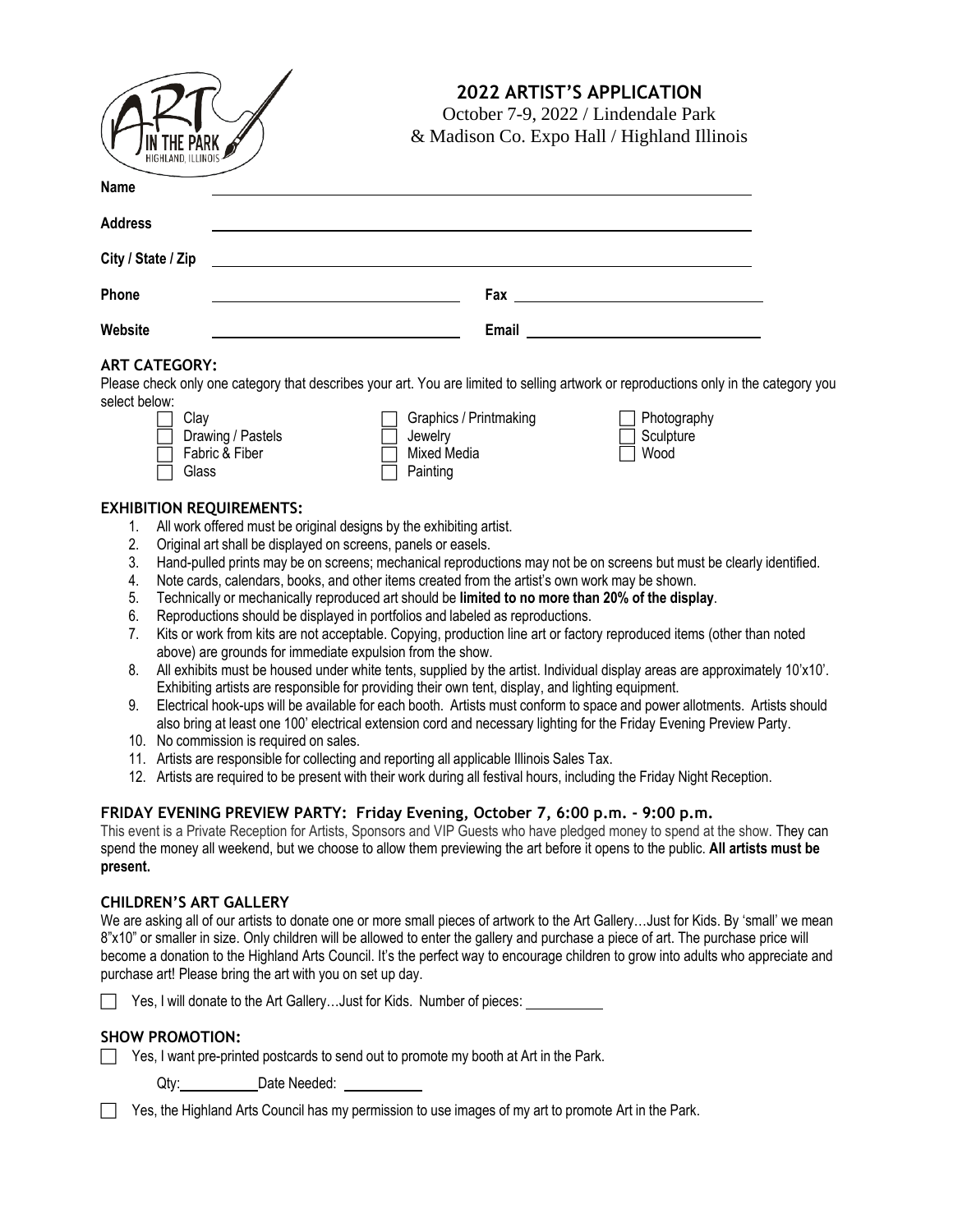| <b>IN THE PARK</b><br>HIGHLAND, ILLINOIS |  |
|------------------------------------------|--|

# **2022 ARTIST'S APPLICATION**

October 7-9, 2022 / Lindendale Park & Madison Co. Expo Hall / Highland Illinois

| <u> 1980 - John Stein, marking and de Brazilian (b. 1980)</u> |                                                   |
|---------------------------------------------------------------|---------------------------------------------------|
|                                                               | Fax ___________________________                   |
|                                                               | Email<br><u> 1989 - Andrea State Barbara, pre</u> |
|                                                               |                                                   |

### **ART CATEGORY:**

Please check only one category that describes your art. You are limited to selling artwork or reproductions only in the category you select below:

| Clav                     | $\Box$ Graphics / Printmaking | □ Photogra       |
|--------------------------|-------------------------------|------------------|
| $\Box$ Drawing / Pastels | l Jewelrv                     | $\Box$ Sculpture |
| Fabric & Fiber           | Mixed Media                   | l Wood           |
| Glass                    | Painting                      |                  |

Photography

### **EXHIBITION REQUIREMENTS:**

- 1. All work offered must be original designs by the exhibiting artist.
- 2. Original art shall be displayed on screens, panels or easels.
- 3. Hand-pulled prints may be on screens; mechanical reproductions may not be on screens but must be clearly identified.
- 4. Note cards, calendars, books, and other items created from the artist's own work may be shown.
- 5. Technically or mechanically reproduced art should be **limited to no more than 20% of the display**.
- 6. Reproductions should be displayed in portfolios and labeled as reproductions.
- 7. Kits or work from kits are not acceptable. Copying, production line art or factory reproduced items (other than noted above) are grounds for immediate expulsion from the show.
- 8. All exhibits must be housed under white tents, supplied by the artist. Individual display areas are approximately 10'x10'. Exhibiting artists are responsible for providing their own tent, display, and lighting equipment.
- 9. Electrical hook-ups will be available for each booth. Artists must conform to space and power allotments. Artists should also bring at least one 100' electrical extension cord and necessary lighting for the Friday Evening Preview Party.
- 10. No commission is required on sales.
- 11. Artists are responsible for collecting and reporting all applicable Illinois Sales Tax.
- 12. Artists are required to be present with their work during all festival hours, including the Friday Night Reception.

## **FRIDAY EVENING PREVIEW PARTY: Friday Evening, October 7, 6:00 p.m. - 9:00 p.m.**

This event is a Private Reception for Artists, Sponsors and VIP Guests who have pledged money to spend at the show. They can spend the money all weekend, but we choose to allow them previewing the art before it opens to the public. **All artists must be present.**

#### **CHILDREN'S ART GALLERY**

We are asking all of our artists to donate one or more small pieces of artwork to the Art Gallery…Just for Kids. By 'small' we mean 8"x10" or smaller in size. Only children will be allowed to enter the gallery and purchase a piece of art. The purchase price will become a donation to the Highland Arts Council. It's the perfect way to encourage children to grow into adults who appreciate and purchase art! Please bring the art with you on set up day.

Yes, I will donate to the Art Gallery...Just for Kids. Number of pieces:

#### **SHOW PROMOTION:**

|  |  |  |  |  | Yes, I want pre-printed postcards to send out to promote my booth at Art in the Park. |
|--|--|--|--|--|---------------------------------------------------------------------------------------|
|--|--|--|--|--|---------------------------------------------------------------------------------------|

Qty: Date Needed:

|  | Yes, the Highland Arts Council has my permission to use images of my art to promote Art in the Park. |  |  |
|--|------------------------------------------------------------------------------------------------------|--|--|
|  |                                                                                                      |  |  |